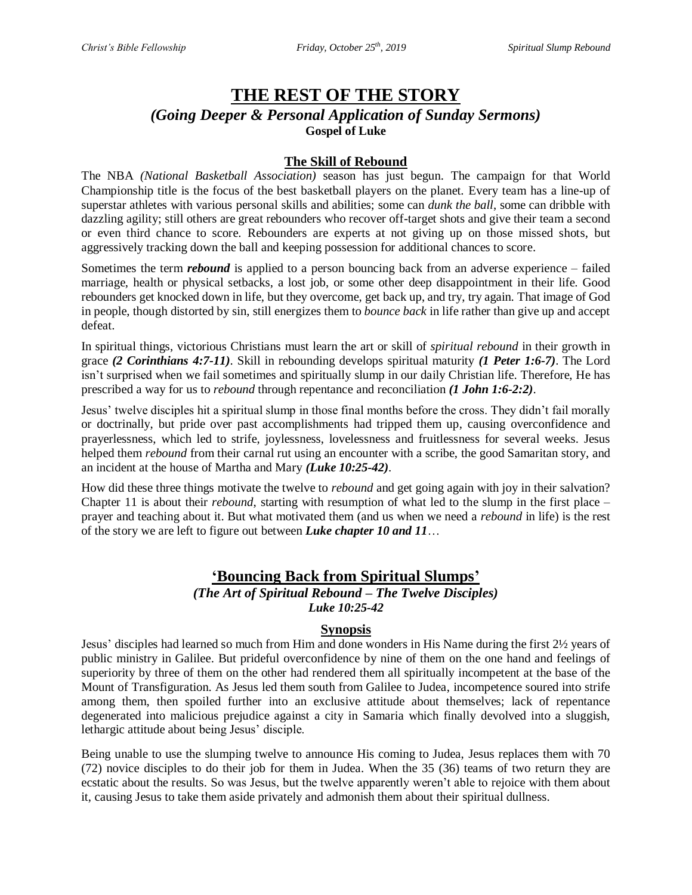# **THE REST OF THE STORY** *(Going Deeper & Personal Application of Sunday Sermons)* **Gospel of Luke**

### **The Skill of Rebound**

The NBA *(National Basketball Association)* season has just begun. The campaign for that World Championship title is the focus of the best basketball players on the planet. Every team has a line-up of superstar athletes with various personal skills and abilities; some can *dunk the ball*, some can dribble with dazzling agility; still others are great rebounders who recover off-target shots and give their team a second or even third chance to score. Rebounders are experts at not giving up on those missed shots, but aggressively tracking down the ball and keeping possession for additional chances to score.

Sometimes the term *rebound* is applied to a person bouncing back from an adverse experience – failed marriage, health or physical setbacks, a lost job, or some other deep disappointment in their life. Good rebounders get knocked down in life, but they overcome, get back up, and try, try again. That image of God in people, though distorted by sin, still energizes them to *bounce back* in life rather than give up and accept defeat.

In spiritual things, victorious Christians must learn the art or skill of *spiritual rebound* in their growth in grace *(2 Corinthians 4:7-11)*. Skill in rebounding develops spiritual maturity *(1 Peter 1:6-7)*. The Lord isn't surprised when we fail sometimes and spiritually slump in our daily Christian life. Therefore, He has prescribed a way for us to *rebound* through repentance and reconciliation *(1 John 1:6-2:2)*.

Jesus' twelve disciples hit a spiritual slump in those final months before the cross. They didn't fail morally or doctrinally, but pride over past accomplishments had tripped them up, causing overconfidence and prayerlessness, which led to strife, joylessness, lovelessness and fruitlessness for several weeks. Jesus helped them *rebound* from their carnal rut using an encounter with a scribe, the good Samaritan story, and an incident at the house of Martha and Mary *(Luke 10:25-42)*.

How did these three things motivate the twelve to *rebound* and get going again with joy in their salvation? Chapter 11 is about their *rebound*, starting with resumption of what led to the slump in the first place – prayer and teaching about it. But what motivated them (and us when we need a *rebound* in life) is the rest of the story we are left to figure out between *Luke chapter 10 and 11*…

# **'Bouncing Back from Spiritual Slumps'**

#### *(The Art of Spiritual Rebound – The Twelve Disciples) Luke 10:25-42*

#### **Synopsis**

Jesus' disciples had learned so much from Him and done wonders in His Name during the first 2½ years of public ministry in Galilee. But prideful overconfidence by nine of them on the one hand and feelings of superiority by three of them on the other had rendered them all spiritually incompetent at the base of the Mount of Transfiguration. As Jesus led them south from Galilee to Judea, incompetence soured into strife among them, then spoiled further into an exclusive attitude about themselves; lack of repentance degenerated into malicious prejudice against a city in Samaria which finally devolved into a sluggish, lethargic attitude about being Jesus' disciple.

Being unable to use the slumping twelve to announce His coming to Judea, Jesus replaces them with 70 (72) novice disciples to do their job for them in Judea. When the 35 (36) teams of two return they are ecstatic about the results. So was Jesus, but the twelve apparently weren't able to rejoice with them about it, causing Jesus to take them aside privately and admonish them about their spiritual dullness.